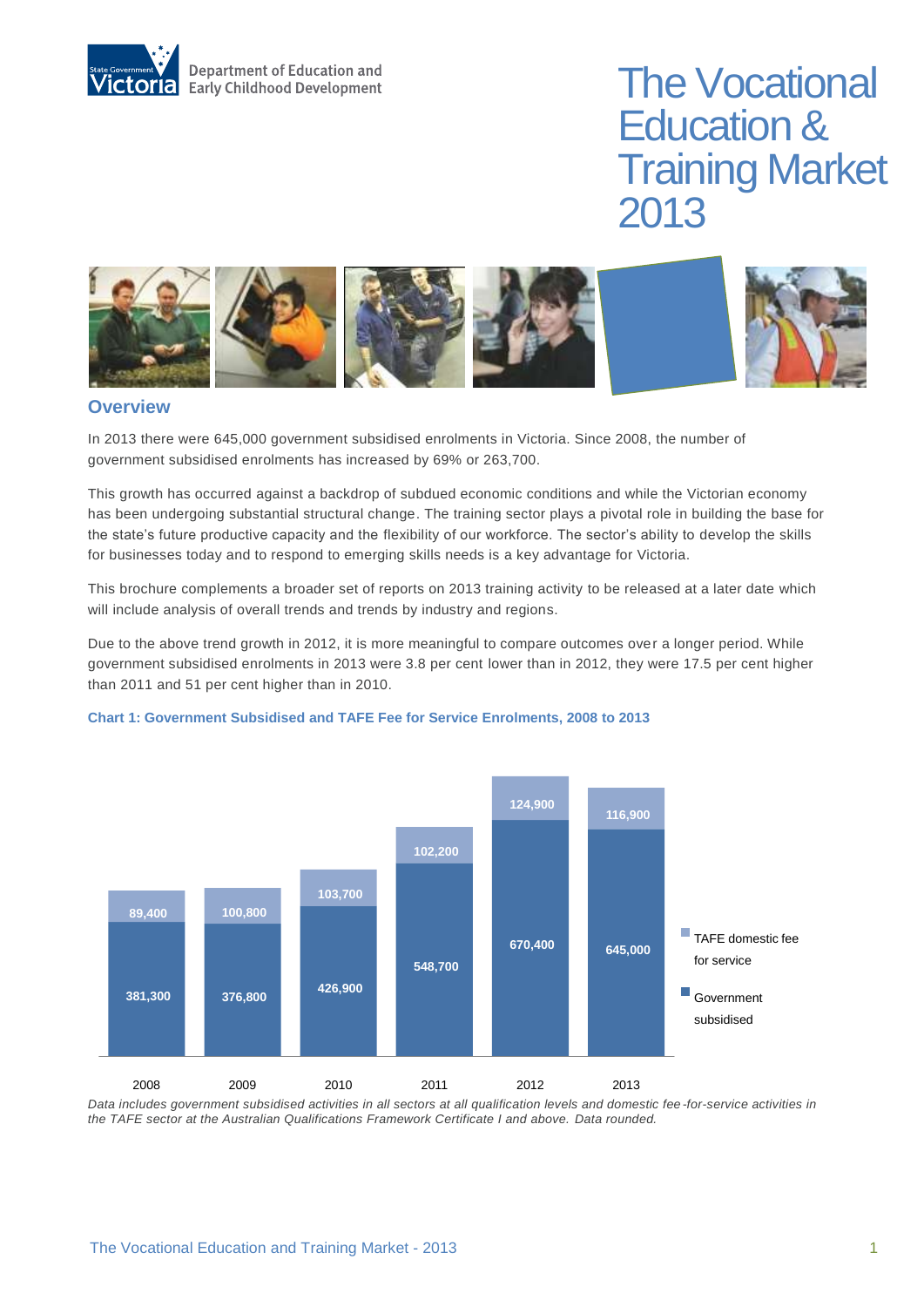

# The Vocational Education & Training Market 2013



### **Overview**

In 2013 there were 645,000 government subsidised enrolments in Victoria. Since 2008, the number of government subsidised enrolments has increased by 69% or 263,700.

This growth has occurred against a backdrop of subdued economic conditions and while the Victorian economy has been undergoing substantial structural change. The training sector plays a pivotal role in building the base for the state's future productive capacity and the flexibility of our workforce. The sector's ability to develop the skills for businesses today and to respond to emerging skills needs is a key advantage for Victoria.

This brochure complements a broader set of reports on 2013 training activity to be released at a later date which will include analysis of overall trends and trends by industry and regions.

Due to the above trend growth in 2012, it is more meaningful to compare outcomes over a longer period. While government subsidised enrolments in 2013 were 3.8 per cent lower than in 2012, they were 17.5 per cent higher than 2011 and 51 per cent higher than in 2010.



#### **Chart 1: Government Subsidised and TAFE Fee for Service Enrolments, 2008 to 2013**

*Data includes government subsidised activities in all sectors at all qualification levels and domestic fee -for-service activities in the TAFE sector at the Australian Qualifications Framework Certificate I and above. Data rounded.*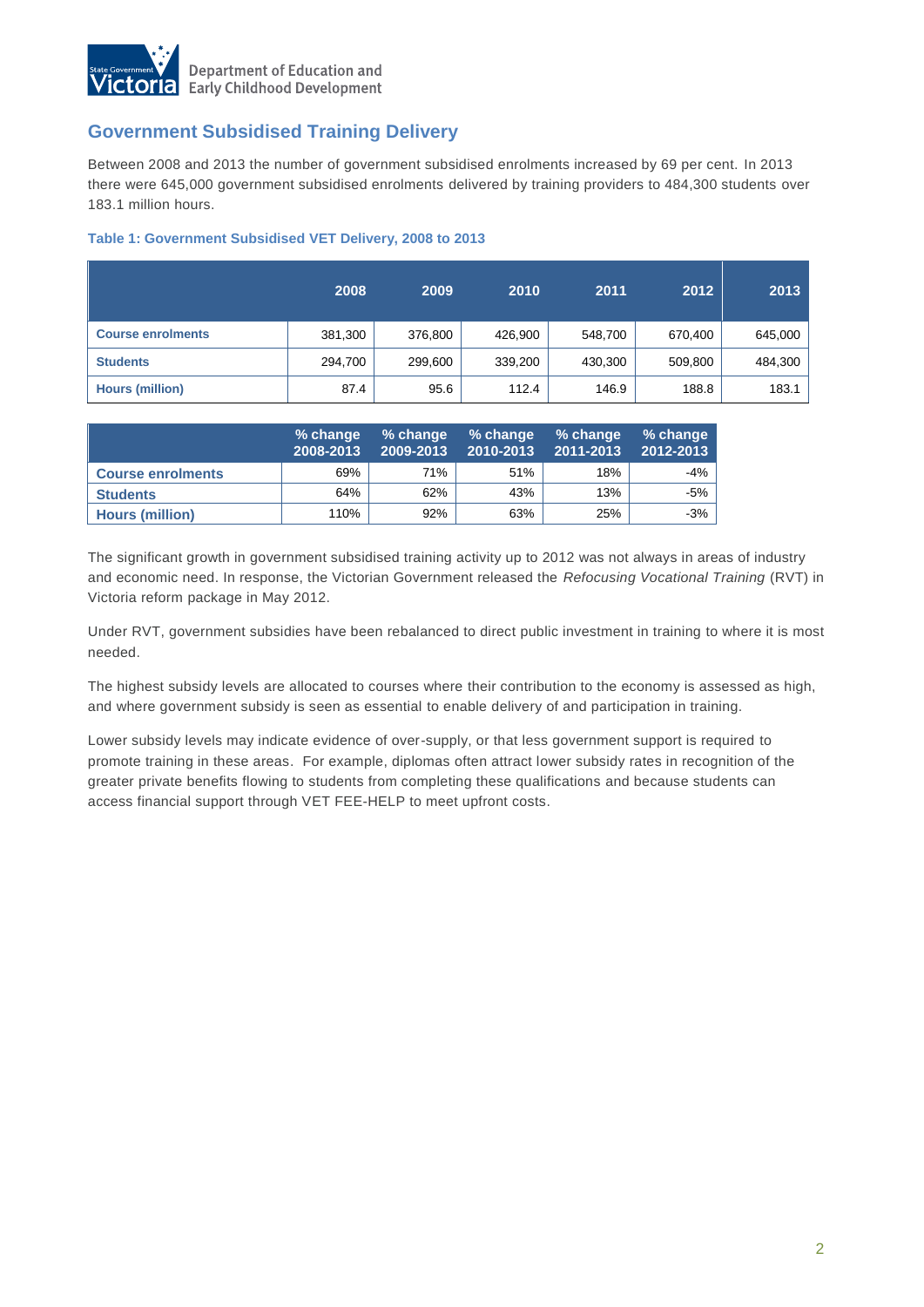

## **Government Subsidised Training Delivery**

Between 2008 and 2013 the number of government subsidised enrolments increased by 69 per cent. In 2013 there were 645,000 government subsidised enrolments delivered by training providers to 484,300 students over 183.1 million hours.

### **Table 1: Government Subsidised VET Delivery, 2008 to 2013**

|                          | 2008    | 2009    | 2010    | 2011    | 2012    | 2013    |
|--------------------------|---------|---------|---------|---------|---------|---------|
| <b>Course enrolments</b> | 381,300 | 376,800 | 426,900 | 548,700 | 670,400 | 645,000 |
| <b>Students</b>          | 294,700 | 299,600 | 339,200 | 430,300 | 509,800 | 484,300 |
| <b>Hours (million)</b>   | 87.4    | 95.6    | 112.4   | 146.9   | 188.8   | 183.1   |

|                          | % change<br>2008-2013 | % change<br>2009-2013 | % change<br>2010-2013 | % change<br>2011-2013 | % change<br>2012-2013 |
|--------------------------|-----------------------|-----------------------|-----------------------|-----------------------|-----------------------|
| <b>Course enrolments</b> | 69%                   | 71%                   | 51%                   | 18%                   | -4%                   |
| <b>Students</b>          | 64%                   | 62%                   | 43%                   | 13%                   | -5% l                 |
| <b>Hours (million)</b>   | 110%                  | 92%                   | 63%                   | 25%                   | $-3%$                 |

The significant growth in government subsidised training activity up to 2012 was not always in areas of industry and economic need. In response, the Victorian Government released the *Refocusing Vocational Training* (RVT) in Victoria reform package in May 2012.

Under RVT, government subsidies have been rebalanced to direct public investment in training to where it is most needed.

The highest subsidy levels are allocated to courses where their contribution to the economy is assessed as high, and where government subsidy is seen as essential to enable delivery of and participation in training.

Lower subsidy levels may indicate evidence of over-supply, or that less government support is required to promote training in these areas. For example, diplomas often attract lower subsidy rates in recognition of the greater private benefits flowing to students from completing these qualifications and because students can access financial support through VET FEE-HELP to meet upfront costs.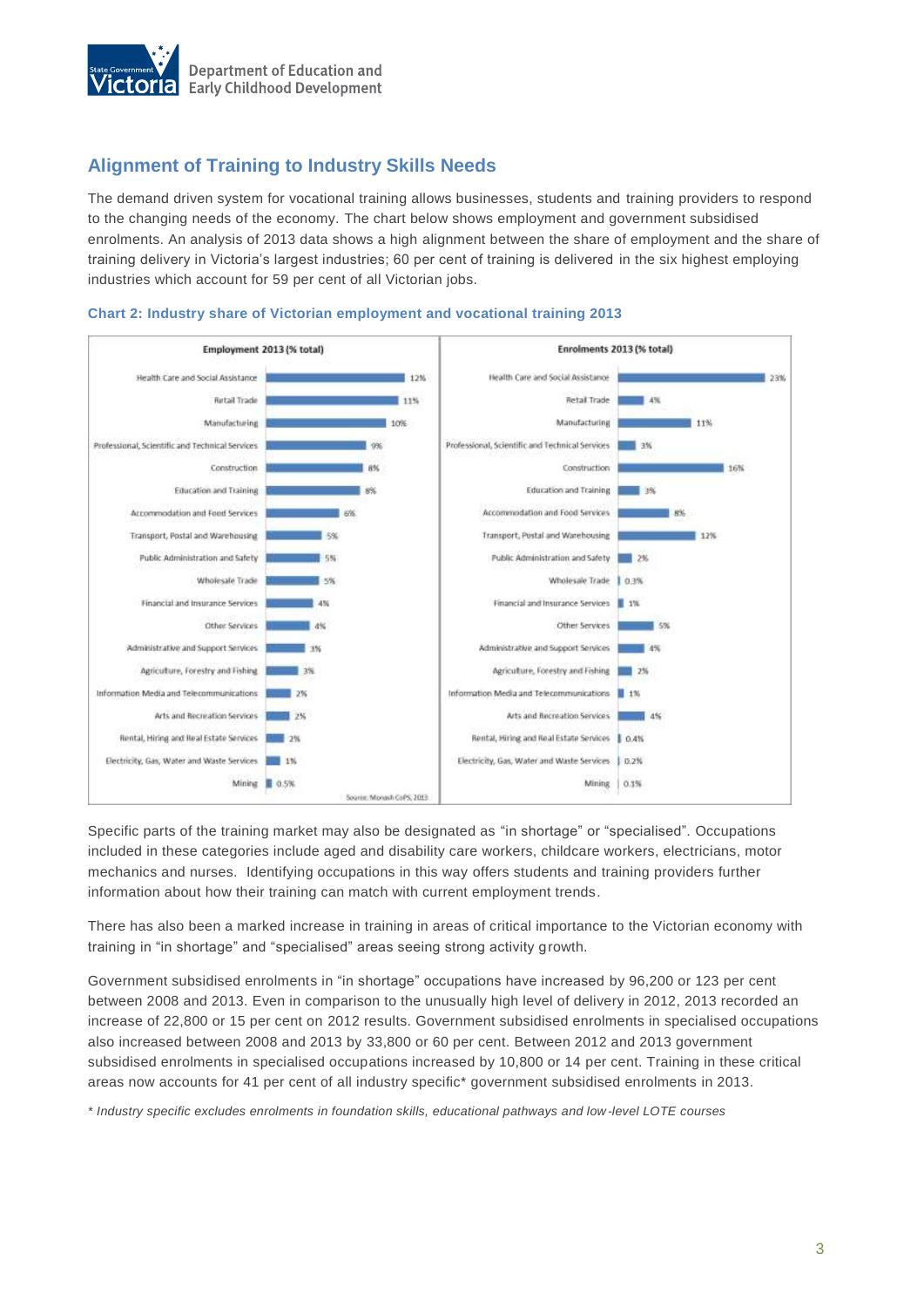

## **Alignment of Training to Industry Skills Needs**

The demand driven system for vocational training allows businesses, students and training providers to respond to the changing needs of the economy. The chart below shows employment and government subsidised enrolments. An analysis of 2013 data shows a high alignment between the share of employment and the share of training delivery in Victoria's largest industries; 60 per cent of training is delivered in the six highest employing industries which account for 59 per cent of all Victorian jobs.



#### **Chart 2: Industry share of Victorian employment and vocational training 2013**

Specific parts of the training market may also be designated as "in shortage" or "specialised". Occupations included in these categories include aged and disability care workers, childcare workers, electricians, motor mechanics and nurses. Identifying occupations in this way offers students and training providers further information about how their training can match with current employment trends.

There has also been a marked increase in training in areas of critical importance to the Victorian economy with training in "in shortage" and "specialised" areas seeing strong activity growth.

Government subsidised enrolments in "in shortage" occupations have increased by 96,200 or 123 per cent between 2008 and 2013. Even in comparison to the unusually high level of delivery in 2012, 2013 recorded an increase of 22,800 or 15 per cent on 2012 results. Government subsidised enrolments in specialised occupations also increased between 2008 and 2013 by 33,800 or 60 per cent. Between 2012 and 2013 government subsidised enrolments in specialised occupations increased by 10,800 or 14 per cent. Training in these critical areas now accounts for 41 per cent of all industry specific\* government subsidised enrolments in 2013.

*\* Industry specific excludes enrolments in foundation skills, educational pathways and low-level LOTE courses*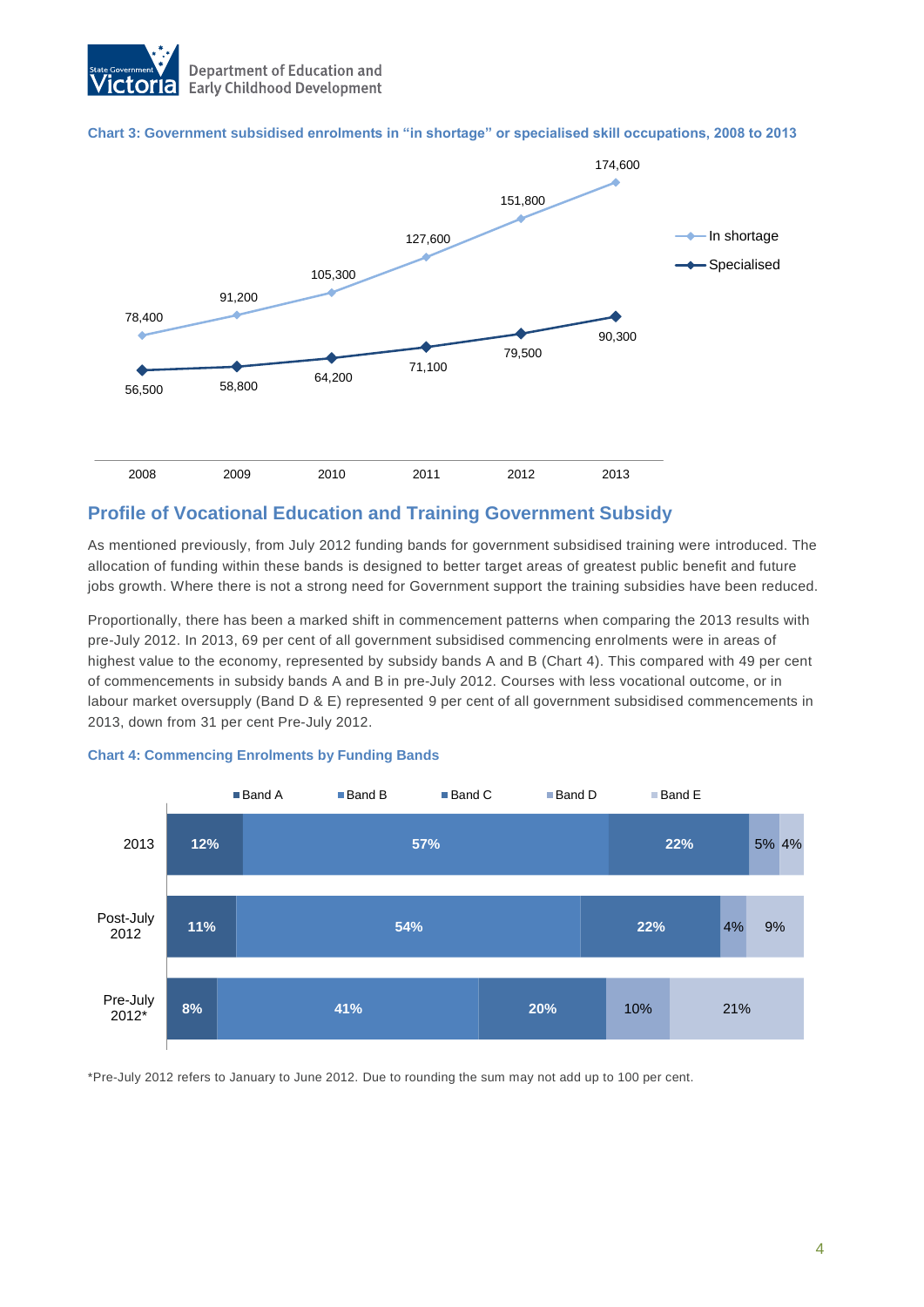

### **Chart 3: Government subsidised enrolments in "in shortage" or specialised skill occupations, 2008 to 2013**



## **Profile of Vocational Education and Training Government Subsidy**

As mentioned previously, from July 2012 funding bands for government subsidised training were introduced. The allocation of funding within these bands is designed to better target areas of greatest public benefit and future jobs growth. Where there is not a strong need for Government support the training subsidies have been reduced.

Proportionally, there has been a marked shift in commencement patterns when comparing the 2013 results with pre-July 2012. In 2013, 69 per cent of all government subsidised commencing enrolments were in areas of highest value to the economy, represented by subsidy bands A and B (Chart 4). This compared with 49 per cent of commencements in subsidy bands A and B in pre-July 2012. Courses with less vocational outcome, or in labour market oversupply (Band D & E) represented 9 per cent of all government subsidised commencements in 2013, down from 31 per cent Pre-July 2012.



### **Chart 4: Commencing Enrolments by Funding Bands**

\*Pre-July 2012 refers to January to June 2012. Due to rounding the sum may not add up to 100 per cent.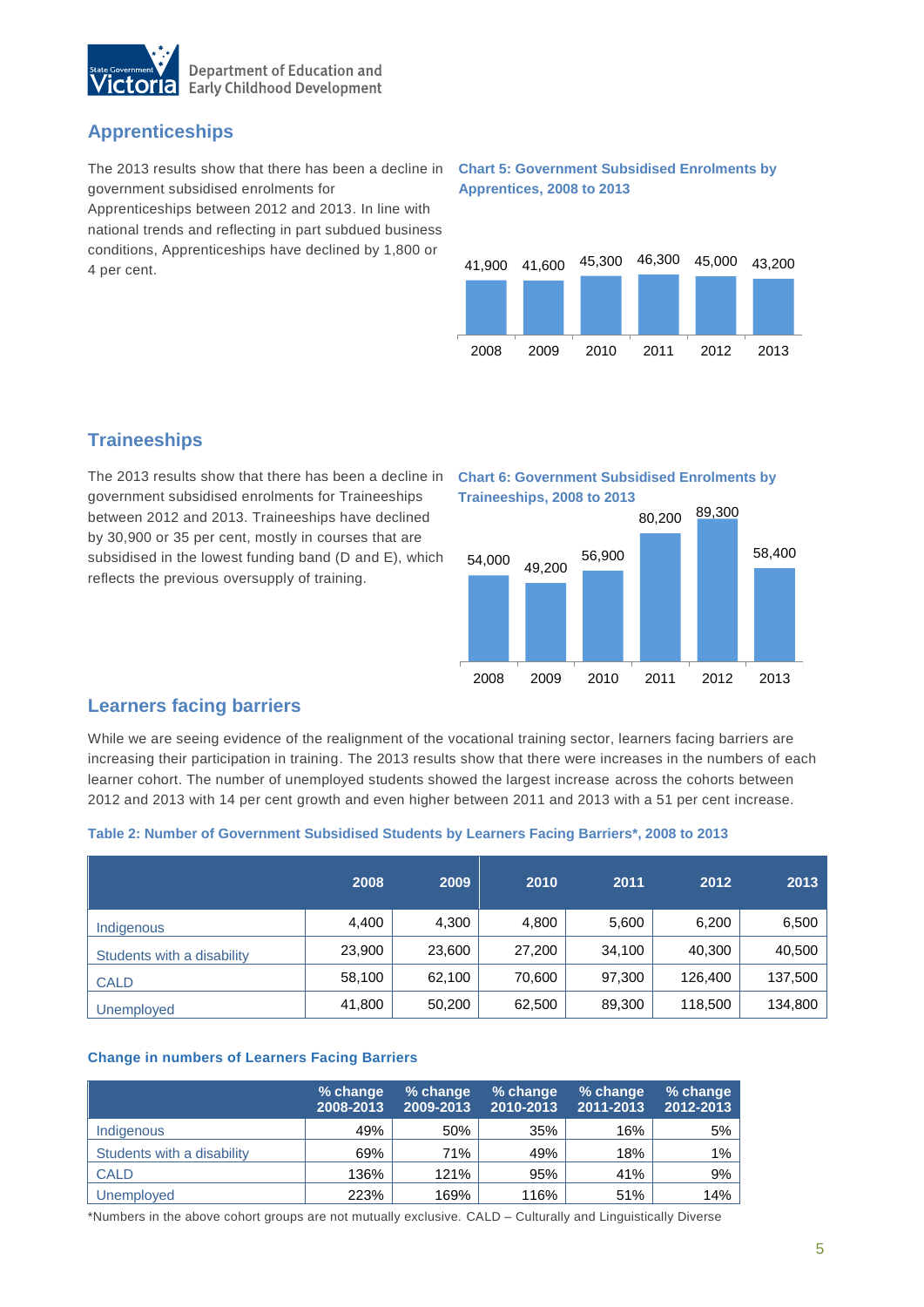

# **Apprenticeships**

The 2013 results show that there has been a decline in **Chart 5: Government Subsidised Enrolments by**  government subsidised enrolments for

Apprenticeships between 2012 and 2013. In line with national trends and reflecting in part subdued business conditions, Apprenticeships have declined by 1,800 or 4 per cent.

# **Apprentices, 2008 to 2013**



# **Traineeships**

The 2013 results show that there has been a decline in **Chart 6: Government Subsidised Enrolments by**  government subsidised enrolments for Traineeships between 2012 and 2013. Traineeships have declined by 30,900 or 35 per cent, mostly in courses that are subsidised in the lowest funding band (D and E), which reflects the previous oversupply of training.

# **Traineeships, 2008 to 2013**



## **Learners facing barriers**

While we are seeing evidence of the realignment of the vocational training sector, learners facing barriers are increasing their participation in training. The 2013 results show that there were increases in the numbers of each learner cohort. The number of unemployed students showed the largest increase across the cohorts between 2012 and 2013 with 14 per cent growth and even higher between 2011 and 2013 with a 51 per cent increase.

### **Table 2: Number of Government Subsidised Students by Learners Facing Barriers\*, 2008 to 2013**

|                            | 2008   | 2009   | 2010   | 2011   | 2012    | 2013    |
|----------------------------|--------|--------|--------|--------|---------|---------|
| Indigenous                 | 4,400  | 4,300  | 4,800  | 5,600  | 6,200   | 6,500   |
| Students with a disability | 23,900 | 23,600 | 27,200 | 34,100 | 40,300  | 40,500  |
| <b>CALD</b>                | 58,100 | 62.100 | 70,600 | 97,300 | 126,400 | 137,500 |
| <b>Unemployed</b>          | 41,800 | 50,200 | 62,500 | 89,300 | 118,500 | 134,800 |

### **Change in numbers of Learners Facing Barriers**

|                            | % change<br>2008-2013 | % change<br>2009-2013 | % change<br>2010-2013 | % change<br>2011-2013 | % change<br>2012-2013 |
|----------------------------|-----------------------|-----------------------|-----------------------|-----------------------|-----------------------|
| Indigenous                 | 49%                   | 50%                   | 35%                   | 16%                   | 5%                    |
| Students with a disability | 69%                   | 71%                   | 49%                   | 18%                   | $1\%$                 |
| <b>CALD</b>                | 136%                  | 121%                  | 95%                   | 41%                   | 9%                    |
| Unemployed                 | 223%                  | 169%                  | 116%                  | 51%                   | 14%                   |

\*Numbers in the above cohort groups are not mutually exclusive. CALD – Culturally and Linguistically Diverse

5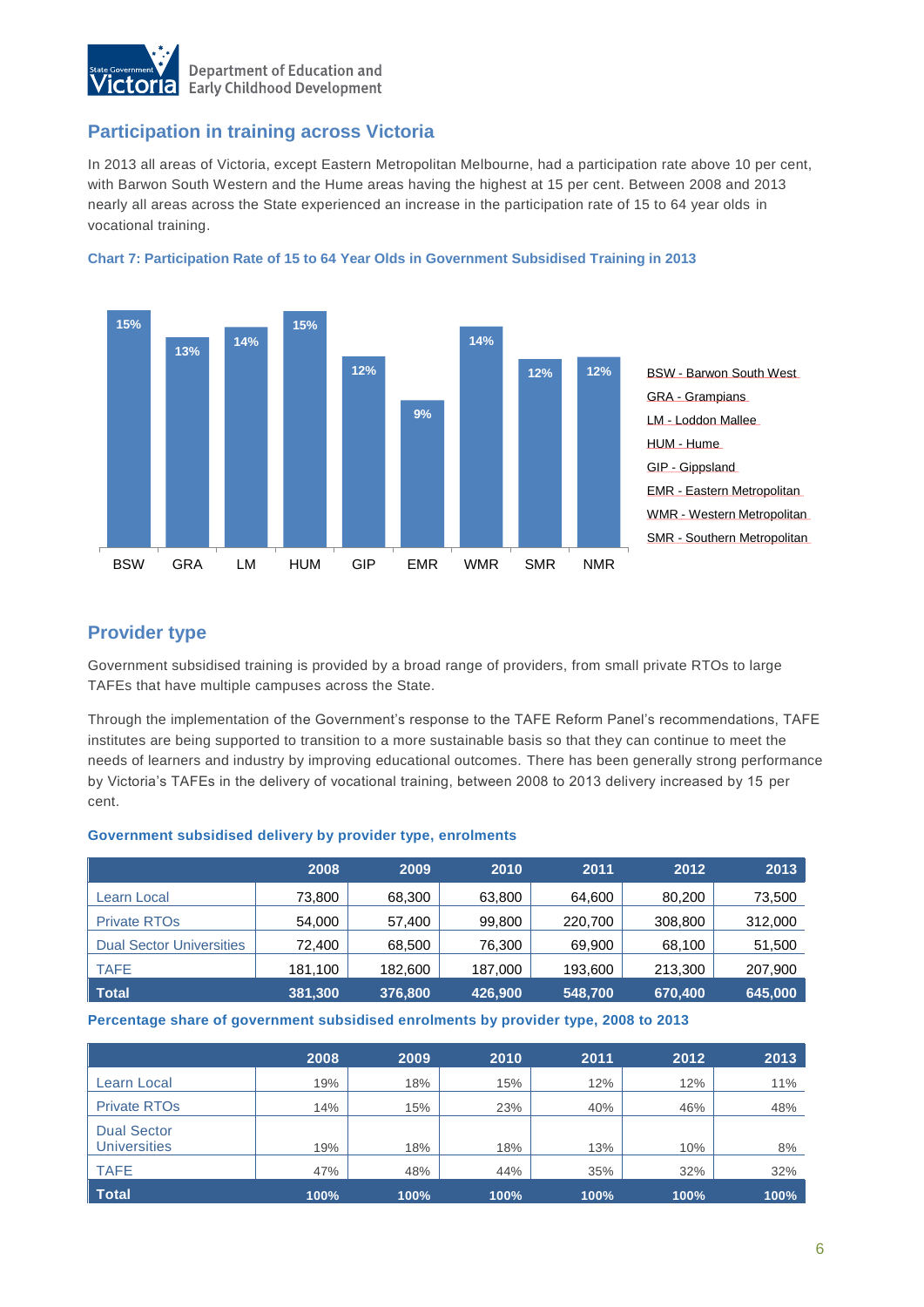

## **Participation in training across Victoria**

In 2013 all areas of Victoria, except Eastern Metropolitan Melbourne, had a participation rate above 10 per cent, with Barwon South Western and the Hume areas having the highest at 15 per cent. Between 2008 and 2013 nearly all areas across the State experienced an increase in the participation rate of 15 to 64 year olds in vocational training.





## **Provider type**

Government subsidised training is provided by a broad range of providers, from small private RTOs to large TAFEs that have multiple campuses across the State.

Through the implementation of the Government's response to the TAFE Reform Panel's recommendations, TAFE institutes are being supported to transition to a more sustainable basis so that they can continue to meet the needs of learners and industry by improving educational outcomes. There has been generally strong performance by Victoria's TAFEs in the delivery of vocational training, between 2008 to 2013 delivery increased by 15 per cent.

#### **Government subsidised delivery by provider type, enrolments**

|                                 | 2008    | 2009    | 2010    | 2011    | 2012    | 2013    |
|---------------------------------|---------|---------|---------|---------|---------|---------|
| Learn Local                     | 73,800  | 68,300  | 63,800  | 64,600  | 80,200  | 73,500  |
| <b>Private RTOs</b>             | 54,000  | 57,400  | 99,800  | 220,700 | 308,800 | 312,000 |
| <b>Dual Sector Universities</b> | 72,400  | 68,500  | 76,300  | 69,900  | 68,100  | 51,500  |
| <b>TAFE</b>                     | 181,100 | 182,600 | 187,000 | 193,600 | 213,300 | 207,900 |
| <b>Total</b>                    | 381,300 | 376,800 | 426,900 | 548,700 | 670,400 | 645,000 |

**Percentage share of government subsidised enrolments by provider type, 2008 to 2013**

|                                           | 2008 | 2009 | 2010 | 2011 | 2012 | 2013 |
|-------------------------------------------|------|------|------|------|------|------|
| Learn Local                               | 19%  | 18%  | 15%  | 12%  | 12%  | 11%  |
| <b>Private RTOs</b>                       | 14%  | 15%  | 23%  | 40%  | 46%  | 48%  |
| <b>Dual Sector</b><br><b>Universities</b> | 19%  | 18%  | 18%  | 13%  | 10%  | 8%   |
| <b>TAFE</b>                               | 47%  | 48%  | 44%  | 35%  | 32%  | 32%  |
| <b>Total</b>                              | 100% | 100% | 100% | 100% | 100% | 100% |